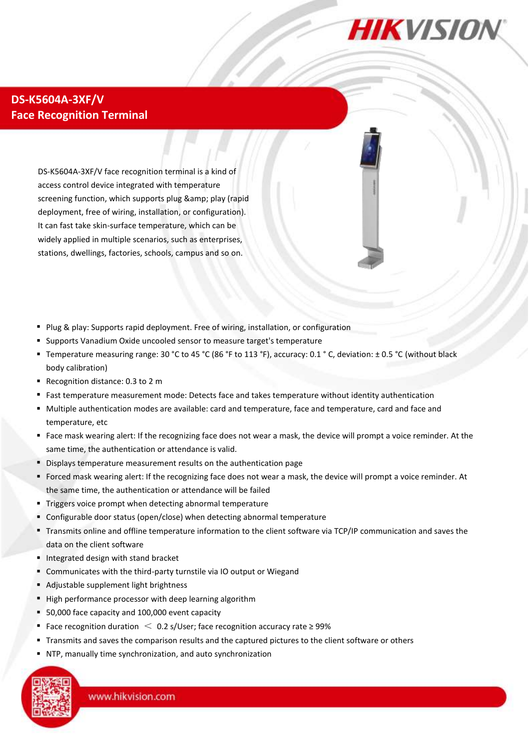

## **DS-K5604A-3XF/V Face Recognition Terminal**

DS-K5604A-3XF/V face recognition terminal is a kind of access control device integrated with temperature screening function, which supports plug & amp; play (rapid deployment, free of wiring, installation, or configuration). It can fast take skin-surface temperature, which can be widely applied in multiple scenarios, such as enterprises, stations, dwellings, factories, schools, campus and so on.

- Plug & play: Supports rapid deployment. Free of wiring, installation, or configuration
- Supports Vanadium Oxide uncooled sensor to measure target's temperature
- Temperature measuring range: 30 °C to 45 °C (86 °F to 113 °F), accuracy: 0.1 °C, deviation:  $\pm$  0.5 °C (without black body calibration)
- Recognition distance: 0.3 to 2 m
- Fast temperature measurement mode: Detects face and takes temperature without identity authentication
- Multiple authentication modes are available: card and temperature, face and temperature, card and face and temperature, etc
- Face mask wearing alert: If the recognizing face does not wear a mask, the device will prompt a voice reminder. At the same time, the authentication or attendance is valid.
- Displays temperature measurement results on the authentication page
- Forced mask wearing alert: If the recognizing face does not wear a mask, the device will prompt a voice reminder. At the same time, the authentication or attendance will be failed
- **Triggers voice prompt when detecting abnormal temperature**
- Configurable door status (open/close) when detecting abnormal temperature
- Transmits online and offline temperature information to the client software via TCP/IP communication and saves the data on the client software
- Integrated design with stand bracket
- Communicates with the third-party turnstile via IO output or Wiegand
- Adjustable supplement light brightness
- High performance processor with deep learning algorithm
- 50,000 face capacity and 100,000 event capacity
- **Face recognition duration**  $\leq$  **0.2 s/User; face recognition accuracy rate ≥ 99%**
- Transmits and saves the comparison results and the captured pictures to the client software or others
- NTP, manually time synchronization, and auto synchronization

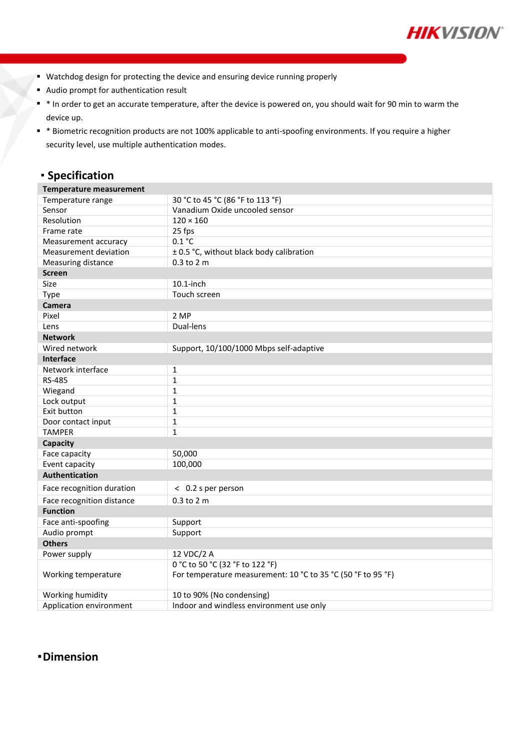

- **Watchdog design for protecting the device and ensuring device running properly**
- Audio prompt for authentication result
- \* In order to get an accurate temperature, after the device is powered on, you should wait for 90 min to warm the device up.
- \* Biometric recognition products are not 100% applicable to anti-spoofing environments. If you require a higher security level, use multiple authentication modes.

# **Specification**

| <b>Temperature measurement</b> |                                                              |
|--------------------------------|--------------------------------------------------------------|
| Temperature range              | 30 °C to 45 °C (86 °F to 113 °F)                             |
| Sensor                         | Vanadium Oxide uncooled sensor                               |
| Resolution                     | $120 \times 160$                                             |
| Frame rate                     | 25 fps                                                       |
| Measurement accuracy           | 0.1 °C                                                       |
| Measurement deviation          | ± 0.5 °C, without black body calibration                     |
| Measuring distance             | 0.3 to 2 m                                                   |
| Screen                         |                                                              |
| Size                           | $10.1$ -inch                                                 |
| Type                           | Touch screen                                                 |
| Camera                         |                                                              |
| Pixel                          | 2 MP                                                         |
| Lens                           | Dual-lens                                                    |
| <b>Network</b>                 |                                                              |
| Wired network                  | Support, 10/100/1000 Mbps self-adaptive                      |
| <b>Interface</b>               |                                                              |
| Network interface              | $\mathbf{1}$                                                 |
| <b>RS-485</b>                  | $\mathbf{1}$                                                 |
| Wiegand                        | $\mathbf 1$                                                  |
| Lock output                    | $\mathbf{1}$                                                 |
| Exit button                    | $\mathbf 1$                                                  |
| Door contact input             | 1                                                            |
| <b>TAMPER</b>                  | $\mathbf{1}$                                                 |
| <b>Capacity</b>                |                                                              |
| Face capacity                  | 50,000                                                       |
| Event capacity                 | 100,000                                                      |
| <b>Authentication</b>          |                                                              |
| Face recognition duration      | < 0.2 s per person                                           |
| Face recognition distance      | 0.3 to 2 m                                                   |
| <b>Function</b>                |                                                              |
| Face anti-spoofing             | Support                                                      |
| Audio prompt                   | Support                                                      |
| <b>Others</b>                  |                                                              |
| Power supply                   | 12 VDC/2 A                                                   |
|                                | 0 °C to 50 °C (32 °F to 122 °F)                              |
| Working temperature            | For temperature measurement: 10 °C to 35 °C (50 °F to 95 °F) |
| Working humidity               | 10 to 90% (No condensing)                                    |
| Application environment        | Indoor and windless environment use only                     |

### **Dimension**